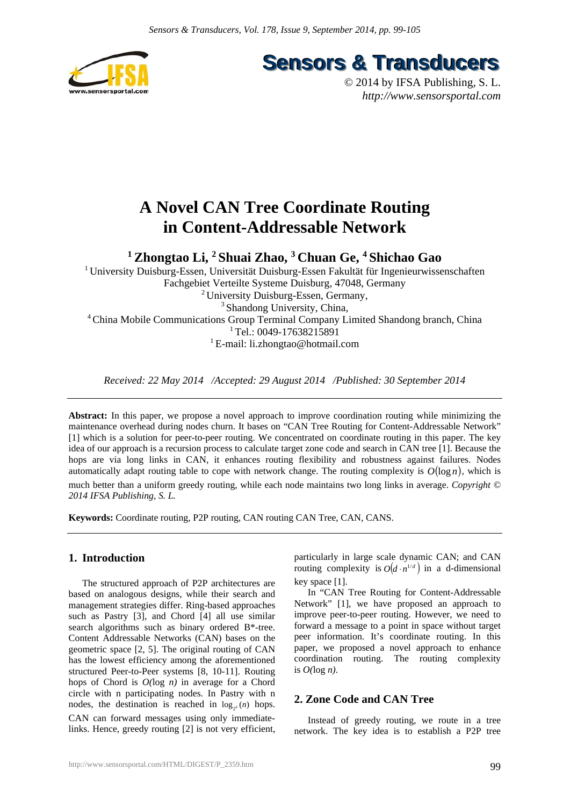

**Sensors & Transducers** 

© 2014 by IFSA Publishing, S. L. *http://www.sensorsportal.com*

# **A Novel CAN Tree Coordinate Routing in Content-Addressable Network**

**1 Zhongtao Li, 2 Shuai Zhao, 3 Chuan Ge, 4 Shichao Gao** 

1 University Duisburg-Essen, Universität Duisburg-Essen Fakultät für Ingenieurwissenschaften Fachgebiet Verteilte Systeme Duisburg, 47048, Germany <sup>2</sup> University Duisburg-Essen, Germany, <sup>3</sup> Shandong University, China, 4 China Mobile Communications Group Terminal Company Limited Shandong branch, China  $1$  Tel.: 0049-17638215891 1 E-mail: li.zhongtao@hotmail.com

*Received: 22 May 2014 /Accepted: 29 August 2014 /Published: 30 September 2014* 

**Abstract:** In this paper, we propose a novel approach to improve coordination routing while minimizing the maintenance overhead during nodes churn. It bases on "CAN Tree Routing for Content-Addressable Network" [1] which is a solution for peer-to-peer routing. We concentrated on coordinate routing in this paper. The key idea of our approach is a recursion process to calculate target zone code and search in CAN tree [1]. Because the hops are via long links in CAN, it enhances routing flexibility and robustness against failures. Nodes automatically adapt routing table to cope with network change. The routing complexity is  $O(\log n)$ , which is much better than a uniform greedy routing, while each node maintains two long links in average. *Copyright © 2014 IFSA Publishing, S. L.*

**Keywords:** Coordinate routing, P2P routing, CAN routing CAN Tree, CAN, CANS.

## **1. Introduction**

The structured approach of P2P architectures are based on analogous designs, while their search and management strategies differ. Ring-based approaches such as Pastry [3], and Chord [4] all use similar search algorithms such as binary ordered B\*-tree. Content Addressable Networks (CAN) bases on the geometric space [2, 5]. The original routing of CAN has the lowest efficiency among the aforementioned structured Peer-to-Peer systems [8, 10-11]. Routing hops of Chord is *O(*log *n)* in average for a Chord circle with n participating nodes. In Pastry with n nodes, the destination is reached in  $log_{2<sup>b</sup>} (n)$  hops. CAN can forward messages using only immediatelinks. Hence, greedy routing [2] is not very efficient,

particularly in large scale dynamic CAN; and CAN routing complexity is  $O(d \cdot n^{1/d})$  in a d-dimensional key space [1].

In "CAN Tree Routing for Content-Addressable Network" [1], we have proposed an approach to improve peer-to-peer routing. However, we need to forward a message to a point in space without target peer information. It's coordinate routing. In this paper, we proposed a novel approach to enhance coordination routing. The routing complexity is *O(*log *n)*.

## **2. Zone Code and CAN Tree**

Instead of greedy routing, we route in a tree network. The key idea is to establish a P2P tree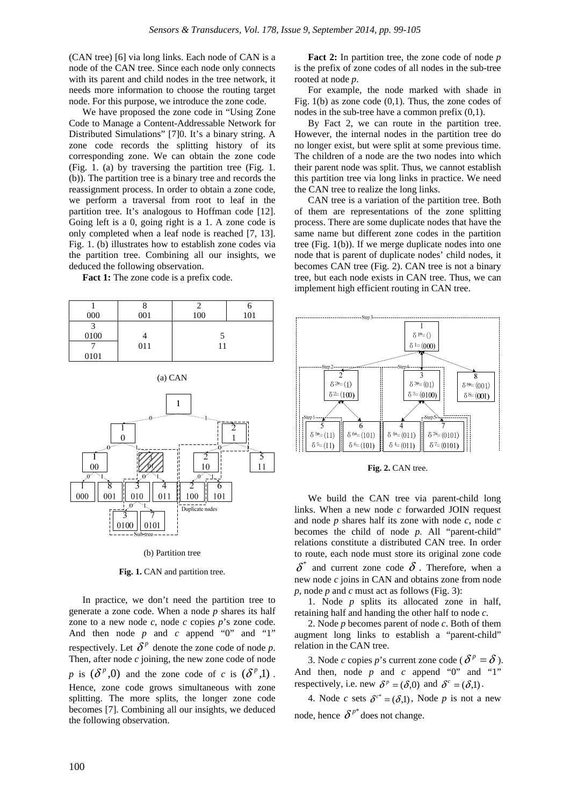(CAN tree) [6] via long links. Each node of CAN is a node of the CAN tree. Since each node only connects with its parent and child nodes in the tree network, it needs more information to choose the routing target node. For this purpose, we introduce the zone code.

We have proposed the zone code in "Using Zone Code to Manage a Content-Addressable Network for Distributed Simulations" [7]0. It's a binary string. A zone code records the splitting history of its corresponding zone. We can obtain the zone code (Fig. 1. (a) by traversing the partition tree (Fig. 1. (b)). The partition tree is a binary tree and records the reassignment process. In order to obtain a zone code, we perform a traversal from root to leaf in the partition tree. It's analogous to Hoffman code [12]. Going left is a 0, going right is a 1. A zone code is only completed when a leaf node is reached [7, 13]. Fig. 1. (b) illustrates how to establish zone codes via the partition tree. Combining all our insights, we deduced the following observation.

Fact 1: The zone code is a prefix code.

| 000  | O<br>001 | 100 | O<br>101 |  |
|------|----------|-----|----------|--|
| 3    |          |     |          |  |
| 0100 | 011      | 11  |          |  |
| 0101 |          |     |          |  |





(b) Partition tree

Fig. 1. CAN and partition tree.

In practice, we don't need the partition tree to generate a zone code. When a node *p* shares its half zone to a new node *c*, node *c* copies *p*'s zone code. And then node  $p$  and  $c$  append "0" and "1" respectively. Let  $\delta^p$  denote the zone code of node *p*. Then, after node *c* joining, the new zone code of node *p* is  $(\delta^p, 0)$  and the zone code of *c* is  $(\delta^p, 1)$ . Hence, zone code grows simultaneous with zone splitting. The more splits, the longer zone code becomes [7]. Combining all our insights, we deduced the following observation.

**Fact 2:** In partition tree, the zone code of node *p* is the prefix of zone codes of all nodes in the sub-tree rooted at node *p*.

For example, the node marked with shade in Fig. 1(b) as zone code (0,1). Thus, the zone codes of nodes in the sub-tree have a common prefix (0,1).

By Fact 2, we can route in the partition tree. However, the internal nodes in the partition tree do no longer exist, but were split at some previous time. The children of a node are the two nodes into which their parent node was split. Thus, we cannot establish this partition tree via long links in practice. We need the CAN tree to realize the long links.

CAN tree is a variation of the partition tree. Both of them are representations of the zone splitting process. There are some duplicate nodes that have the same name but different zone codes in the partition tree (Fig. 1(b)). If we merge duplicate nodes into one node that is parent of duplicate nodes' child nodes, it becomes CAN tree (Fig. 2). CAN tree is not a binary tree, but each node exists in CAN tree. Thus, we can implement high efficient routing in CAN tree.



Fig. 2. CAN tree.

We build the CAN tree via parent-child long links. When a new node *c* forwarded JOIN request and node *p* shares half its zone with node *c*, node *c* becomes the child of node *p*. All "parent-child" relations constitute a distributed CAN tree. In order to route, each node must store its original zone code  $\delta^*$  and current zone code  $\delta$ . Therefore, when a new node *c* joins in CAN and obtains zone from node *p*, node *p* and *c* must act as follows (Fig. 3):

1. Node *p* splits its allocated zone in half, retaining half and handing the other half to node *c*.

2. Node *p* becomes parent of node *c*. Both of them augment long links to establish a "parent-child" relation in the CAN tree.

3. Node *c* copies *p*'s current zone code ( $\delta^p = \delta$ ). And then, node  $p$  and  $c$  append "0" and "1" respectively, i.e. new  $\delta^p = (\delta, 0)$  and  $\delta^c = (\delta, 1)$ .

4. Node *c* sets  $\delta^{c^*} = (\delta \mathbf{.} \cdot \mathbf{.})$ , Node *p* is not a new node, hence  $\delta^{p^*}$  does not change.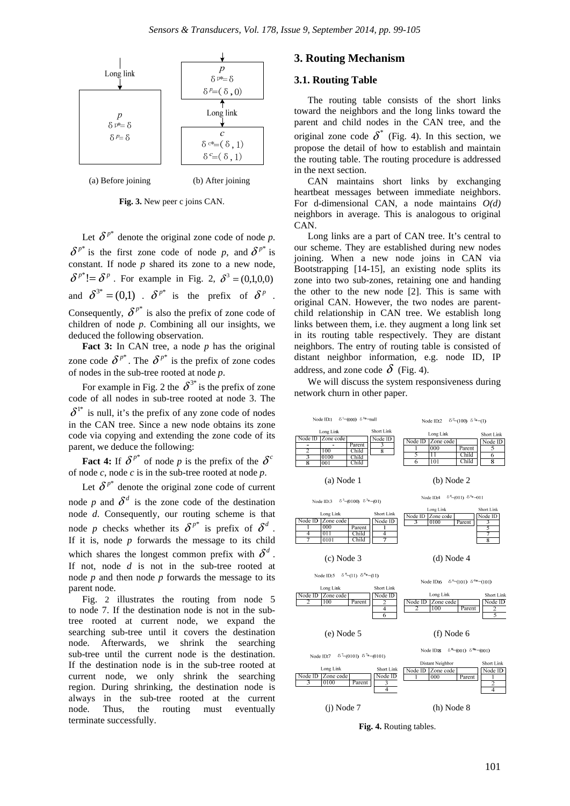

**Fig. 3.** New peer c joins CAN.

Let  $\delta^{p^*}$  denote the original zone code of node *p*.  $\delta^{p^*}$  is the first zone code of node *p*, and  $\delta^{p^*}$  is constant. If node *p* shared its zone to a new node,  $\delta^{p^*}$  =  $\delta^p$ . For example in Fig. 2,  $\delta^3$  = (0,1,0,0) and  $\delta^{3*} = (0,1)$   $\delta^{p*}$  is the prefix of  $\delta^p$ . Consequently,  $\delta^{p^*}$  is also the prefix of zone code of children of node *p*. Combining all our insights, we deduced the following observation.

Fact 3: In CAN tree, a node *p* has the original zone code  $\delta^{p^*}$ . The  $\delta^{p^*}$  is the prefix of zone codes of nodes in the sub-tree rooted at node *p*.

For example in Fig. 2 the  $\delta^{3*}$  is the prefix of zone code of all nodes in sub-tree rooted at node 3. The  $\delta^{1*}$  is null, it's the prefix of any zone code of nodes in the CAN tree. Since a new node obtains its zone code via copying and extending the zone code of its parent, we deduce the following:

**Fact 4:** If  $\delta^{p^*}$  of node *p* is the prefix of the  $\delta^c$ of node *c*, node *c* is in the sub-tree rooted at node *p*.

Let  $\delta^{p^*}$  denote the original zone code of current node *p* and  $\delta^d$  is the zone code of the destination node *d*. Consequently, our routing scheme is that node *p* checks whether its  $\delta^{p^*}$  is prefix of  $\delta^d$ . If it is, node  $p$  forwards the message to its child which shares the longest common prefix with  $\delta^d$ . If not, node *d* is not in the sub-tree rooted at node *p* and then node *p* forwards the message to its parent node.

Fig. 2 illustrates the routing from node 5 to node 7. If the destination node is not in the subtree rooted at current node, we expand the searching sub-tree until it covers the destination node. Afterwards, we shrink the searching sub-tree until the current node is the destination. If the destination node is in the sub-tree rooted at current node, we only shrink the searching region. During shrinking, the destination node is always in the sub-tree rooted at the current node. Thus, the routing must eventually terminate successfully.

## **3. Routing Mechanism**

#### **3.1. Routing Table**

The routing table consists of the short links toward the neighbors and the long links toward the parent and child nodes in the CAN tree, and the original zone code  $\delta^*$  (Fig. 4). In this section, we propose the detail of how to establish and maintain the routing table. The routing procedure is addressed in the next section.

CAN maintains short links by exchanging heartbeat messages between immediate neighbors. For d-dimensional CAN, a node maintains *O(d)* neighbors in average. This is analogous to original CAN.

Long links are a part of CAN tree. It's central to our scheme. They are established during new nodes joining. When a new node joins in CAN via Bootstrapping [14-15], an existing node splits its zone into two sub-zones, retaining one and handing the other to the new node [2]. This is same with original CAN. However, the two nodes are parentchild relationship in CAN tree. We establish long links between them, i.e. they augment a long link set in its routing table respectively. They are distant neighbors. The entry of routing table is consisted of distant neighbor information, e.g. node ID, IP address, and zone code  $\delta$  (Fig. 4).

We will discuss the system responsiveness during network churn in other paper.



**Fig. 4.** Routing tables.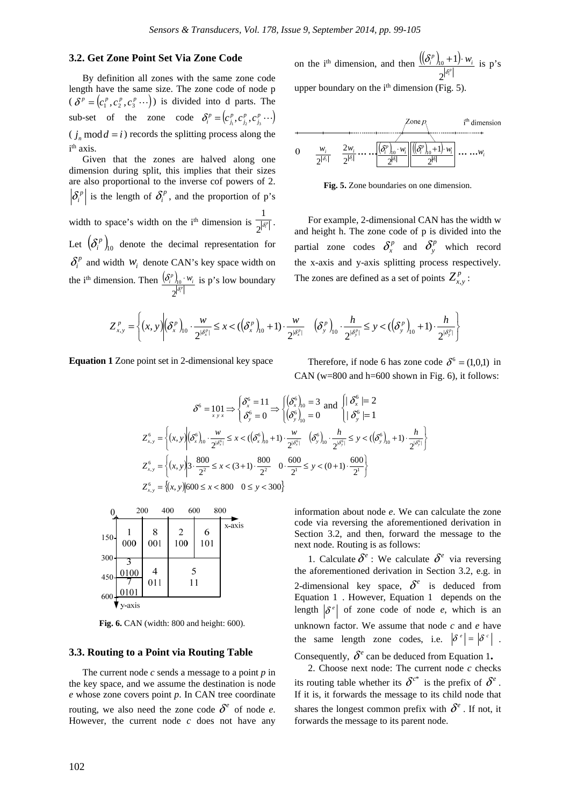## **3.2. Get Zone Point Set Via Zone Code**

By definition all zones with the same zone code length have the same size. The zone code of node p  $(\delta^p = (c_1^p, c_2^p, c_3^p \cdots))$  is divided into d parts. The sub-set of the zone code  $\delta_i^p = (c_{j_1}^p, c_{j_2}^p, c_{j_3}^p \cdots)$  $(j_n \mod d = i)$  records the splitting process along the i<sup>th</sup> axis.

Given that the zones are halved along one dimension during split, this implies that their sizes are also proportional to the inverse cof powers of 2.  $|\delta_i^p|$  is the length of  $\delta_i^p$ , and the proportion of p's width to space's width on the i<sup>th</sup> dimension is  $\frac{1}{2}$   $\frac{1}{0}$  *i*<sup>6</sup>  $\frac{1}{\left|\delta^p\right|}$ . Let  $(\delta_i^p)$ <sub>10</sub> denote the decimal representation for  $\delta_i^p$  and width  $w_i$  denote CAN's key space width on the i<sup>th</sup> dimension. Then  $\frac{(\delta_i^p)_{i_0}}{2^{|\delta_i^p|}}$  $\left(\frac{p}{i}\right)_{10} \cdot w_i$ δ 2  $\int_{10} \cdot W_i$  is p's low boundary

on the i<sup>th</sup> dimension, and then 
$$
\frac{((\delta_i^p)_{10} + 1) \cdot w_i}{2^{|\delta_i^p|}}
$$
 is p's

upper boundary on the  $i<sup>th</sup>$  dimension (Fig. 5).

$$
\begin{array}{c}\n\downarrow \text{Sone } p \\
\hline\n0 \quad \frac{w_i}{2^{|\delta_i|}} & \frac{2w_i}{2^{|\delta_i|}} \dots \dots \underbrace{\left| \left( \frac{\delta^n}{2^{|\delta|}} \right| \dots \underbrace{\left| \left( \frac{\delta^n}{2^{|\delta|}} \right| + 1 \right) \cdot w_i}_{2^{|\delta|}} \right|}_{2^{|\delta|}} \dots \dots w_i\n\end{array}
$$

**Fig. 5.** Zone boundaries on one dimension.

For example, 2-dimensional CAN has the width w and height h. The zone code of p is divided into the partial zone codes  $\delta_x^p$  and  $\delta_y^p$  which record the x-axis and y-axis splitting process respectively. The zones are defined as a set of points  $Z_{y,y}^p$ :

$$
Z_{x,y}^p = \left\{ (x,y) \Big| \left( \delta_x^p \right)_{10} \cdot \frac{w}{2^{|\delta_x^p|}} \leq x < \left( \left( \delta_x^p \right)_{10} + 1 \right) \cdot \frac{w}{2^{|\delta_x^p|}} \quad \left( \delta_y^p \right)_{10} \cdot \frac{h}{2^{|\delta_y^p|}} \leq y < \left( \left( \delta_y^p \right)_{10} + 1 \right) \cdot \frac{h}{2^{|\delta_y^p|}} \right\}
$$

**Equation 1** Zone point set in 2-dimensional key space Therefore, if node 6 has zone code  $\delta^6 = (1,0,1)$  in

CAN ( $w=800$  and  $h=600$  shown in Fig. 6), it follows:

$$
\delta^6 = 101 \Rightarrow \begin{cases} \delta_x^6 = 11 \\ \delta_y^6 = 0 \end{cases} \Rightarrow \begin{cases} (\delta_x^6)_{10} = 3 \\ (\delta_y^6)_{10} = 0 \end{cases} \text{ and } \begin{cases} |\delta_x^6 = 2 \\ |\delta_y^6 = 1 \end{cases}
$$
  

$$
Z_{x,y}^6 = \begin{cases} (x, y) | (\delta_x^6)_{10} \cdot \frac{w}{2^{|\delta_x^6|}} \le x < ((\delta_x^6)_{10} + 1) \cdot \frac{w}{2^{|\delta_x^6|}} \quad (\delta_y^6)_{10} \cdot \frac{h}{2^{|\delta_y^6|}} \le y < ((\delta_y^6)_{10} + 1) \cdot \frac{h}{2^{|\delta_y^6|}} \end{cases}
$$
  

$$
Z_{x,y}^6 = \begin{cases} (x, y) | 3 \cdot \frac{800}{2^2} \le x < (3+1) \cdot \frac{800}{2^2} & 0 \cdot \frac{600}{2^1} \le y < (0+1) \cdot \frac{600}{2^1} \end{cases}
$$
  

$$
Z_{x,y}^6 = \{ (x, y) | 600 \le x < 800 \quad 0 \le y < 300 \}
$$

| 0             | 200          | 400      | 600                                     |          | 800    |
|---------------|--------------|----------|-----------------------------------------|----------|--------|
| $150-$<br>300 | 000          | 8<br>001 | $\begin{array}{c} 2 \\ 100 \end{array}$ | 6<br>101 | x-axis |
| 450<br>600    | 0100<br>0101 | 4<br>011 | 5<br>11                                 |          |        |
|               | v axis       |          |                                         |          |        |

**Fig. 6.** CAN (width: 800 and height: 600).

#### **3.3. Routing to a Point via Routing Table**

The current node *c* sends a message to a point *p* in the key space, and we assume the destination is node *e* whose zone covers point *p*. In CAN tree coordinate routing, we also need the zone code  $\delta^e$  of node *e*. However, the current node *c* does not have any information about node *e*. We can calculate the zone code via reversing the aforementioned derivation in Section 3.2, and then, forward the message to the next node. Routing is as follows:

1. Calculate  $\delta^e$  : We calculate  $\delta^e$  via reversing the aforementioned derivation in Section 3.2, e.g. in 2-dimensional key space,  $\delta^e$  is deduced from Equation 1 . However, Equation 1 depends on the length  $\left|\delta^e\right|$  of zone code of node *e*, which is an unknown factor. We assume that node *c* and *e* have the same length zone codes, i.e.  $|\delta^e| = |\delta^c|$ . Consequently,  $\delta^e$  can be deduced from Equation 1.

2. Choose next node: The current node *c* checks

its routing table whether its  $\delta^{c^*}$  is the prefix of  $\delta^e$ . If it is, it forwards the message to its child node that shares the longest common prefix with  $\delta^e$ . If not, it forwards the message to its parent node.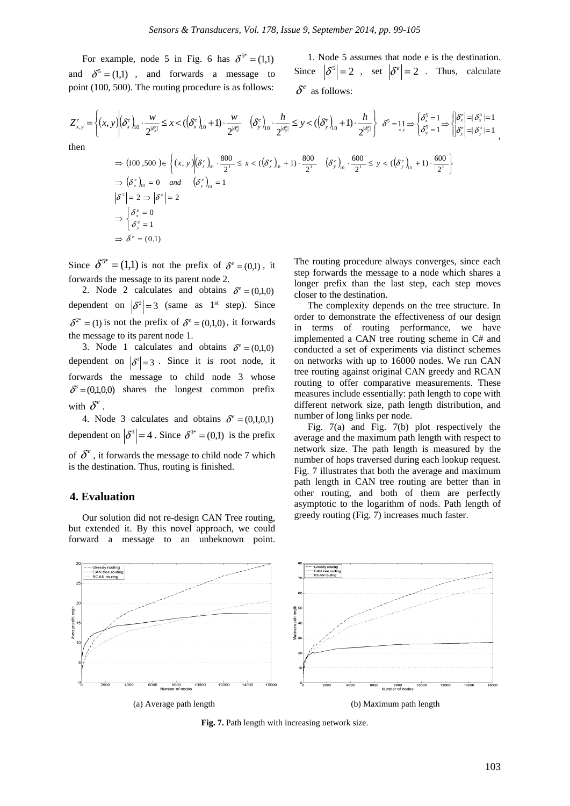For example, node 5 in Fig. 6 has  $\delta^{5^*} = (1,1)$ and  $\delta^5 = (1,1)$ , and forwards a message to point (100, 500). The routing procedure is as follows:

1. Node 5 assumes that node e is the destination. Since  $|\delta^5| = 2$ , set  $|\delta^e| = 2$ . Thus, calculate  $\delta^e$  as follows:

,

$$
Z_{x,y}^{e} = \left\{ (x,y) \middle| \begin{aligned} (\delta_{x}^{e})_{0} \cdot \frac{w}{2^{|\delta_{x}^{e}|}} \leq x < ((\delta_{x}^{e})_{10} + 1) \cdot \frac{w}{2^{|\delta_{x}^{e}|}} \quad (\delta_{y}^{e})_{10} \cdot \frac{h}{2^{|\delta_{y}^{e}|}} \leq y < ((\delta_{y}^{e})_{10} + 1) \cdot \frac{h}{2^{|\delta_{y}^{e}|}} \right\} \delta^{5} = 1_{x,y} \Rightarrow \left\{ \begin{aligned} \delta_{x}^{5} &= 1 \\ \delta_{y}^{5} &= 1 \end{aligned} \right\} \left\{ \begin{aligned} \delta_{x}^{e} \mid = \delta_{x}^{5} \mid = 1 \\ \delta_{y}^{e} \mid = \delta_{y}^{5} \mid = 1 \end{aligned} \right\}
$$
\nthen

\n
$$
\Rightarrow (100,500) \in \left\{ (x,y) \middle| (\delta_{x}^{e})_{10} \cdot \frac{800}{2^{1}} \leq x < ((\delta_{x}^{e})_{10} + 1) \cdot \frac{800}{2^{1}} \quad (\delta_{y}^{e})_{10} \cdot \frac{600}{2^{1}} \leq y < ((\delta_{y}^{e})_{10} + 1) \cdot \frac{600}{2^{1}} \right\}
$$

$$
\Rightarrow (100,500) \in \left\{ (x, y) \middle| (\delta_x^e)_{10} \cdot \frac{800}{2^1} \le x < ((\delta_x^e)_{10} + 1) \cdot \frac{800}{2^1} \quad (\delta_y^e)_{10} \cdot \frac{600}{2^1} \le y < ((\delta_y^e)_{10} + 1) \cdot \frac{600}{2^1} \right\}
$$
\n
$$
\Rightarrow (\delta_x^e)_{10} = 0 \quad \text{and} \quad (\delta_y^e)_{10} = 1
$$
\n
$$
|\delta^5| = 2 \Rightarrow |\delta^e| = 2
$$
\n
$$
\Rightarrow \begin{cases} \delta_x^e = 0 \\ \delta_y^e = 1 \end{cases}
$$
\n
$$
\Rightarrow \delta^e = (0,1)
$$

Since  $\delta^{5^*} = (1,1)$  is not the prefix of  $\delta^e = (0,1)$ , it forwards the message to its parent node 2.

2. Node 2 calculates and obtains  $\delta^e = (0,1,0)$ dependent on  $|\delta^2| = 3$  (same as 1<sup>st</sup> step). Since  $\delta^{2^*} = (1)$  is not the prefix of  $\delta^e = (0,1,0)$ , it forwards the message to its parent node 1.

3. Node 1 calculates and obtains  $\delta^e = (0.1,0)$ dependent on  $|\delta^1| = 3$ . Since it is root node, it forwards the message to child node 3 whose  $\delta^3$  = (0,1,0,0) shares the longest common prefix with  $\delta^e$ .

4. Node 3 calculates and obtains  $\delta^e = (0,1,0,1)$ dependent on  $|\delta^3| = 4$ . Since  $\delta^{3*} = (0,1)$  is the prefix of  $\delta^e$ , it forwards the message to child node 7 which is the destination. Thus, routing is finished.

## **4. Evaluation**

Our solution did not re-design CAN Tree routing, but extended it. By this novel approach, we could forward a message to an unbeknown point.

The routing procedure always converges, since each step forwards the message to a node which shares a longer prefix than the last step, each step moves closer to the destination.

The complexity depends on the tree structure. In order to demonstrate the effectiveness of our design in terms of routing performance, we have implemented a CAN tree routing scheme in C# and conducted a set of experiments via distinct schemes on networks with up to 16000 nodes. We run CAN tree routing against original CAN greedy and RCAN routing to offer comparative measurements. These measures include essentially: path length to cope with different network size, path length distribution, and number of long links per node.

Fig. 7(a) and Fig. 7(b) plot respectively the average and the maximum path length with respect to network size. The path length is measured by the number of hops traversed during each lookup request. Fig. 7 illustrates that both the average and maximum path length in CAN tree routing are better than in other routing, and both of them are perfectly asymptotic to the logarithm of nods. Path length of greedy routing (Fig. 7) increases much faster.



**Fig. 7.** Path length with increasing network size.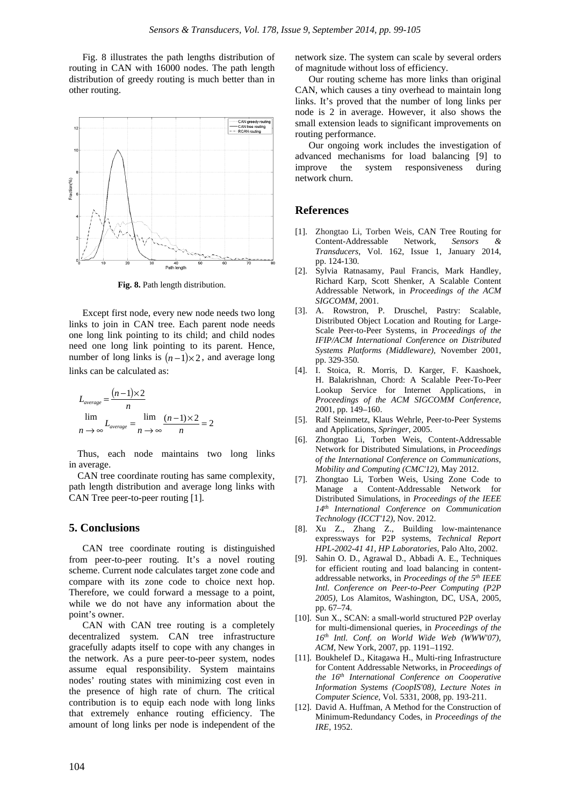Fig. 8 illustrates the path lengths distribution of routing in CAN with 16000 nodes. The path length distribution of greedy routing is much better than in other routing.



**Fig. 8.** Path length distribution.

Except first node, every new node needs two long links to join in CAN tree. Each parent node needs one long link pointing to its child; and child nodes need one long link pointing to its parent. Hence, number of long links is  $(n-1)\times 2$ , and average long links can be calculated as:

$$
L_{average} = \frac{(n-1)\times 2}{n}
$$
  
\n
$$
\lim_{n \to \infty} L_{average} = \lim_{n \to \infty} \frac{(n-1)\times 2}{n} = 2
$$

Thus, each node maintains two long links in average.

CAN tree coordinate routing has same complexity, path length distribution and average long links with CAN Tree peer-to-peer routing [1].

### **5. Conclusions**

CAN tree coordinate routing is distinguished from peer-to-peer routing. It's a novel routing scheme. Current node calculates target zone code and compare with its zone code to choice next hop. Therefore, we could forward a message to a point, while we do not have any information about the point's owner.

CAN with CAN tree routing is a completely decentralized system. CAN tree infrastructure gracefully adapts itself to cope with any changes in the network. As a pure peer-to-peer system, nodes assume equal responsibility. System maintains nodes' routing states with minimizing cost even in the presence of high rate of churn. The critical contribution is to equip each node with long links that extremely enhance routing efficiency. The amount of long links per node is independent of the network size. The system can scale by several orders of magnitude without loss of efficiency.

Our routing scheme has more links than original CAN, which causes a tiny overhead to maintain long links. It's proved that the number of long links per node is 2 in average. However, it also shows the small extension leads to significant improvements on routing performance.

Our ongoing work includes the investigation of advanced mechanisms for load balancing [9] to improve the system responsiveness during network churn.

## **References**

- [1]. Zhongtao Li, Torben Weis, CAN Tree Routing for Content-Addressable Network, Sensors *Transducers*, Vol. 162, Issue 1, January 2014, pp. 124-130.
- [2]. Sylvia Ratnasamy, Paul Francis, Mark Handley, Richard Karp, Scott Shenker, A Scalable Content Addressable Network, in *Proceedings of the ACM SIGCOMM*, 2001.
- [3]. A. Rowstron, P. Druschel, Pastry: Scalable, Distributed Object Location and Routing for Large-Scale Peer-to-Peer Systems, in *Proceedings of the IFIP/ACM International Conference on Distributed Systems Platforms (Middleware),* November 2001, pp. 329-350.
- [4]. I. Stoica, R. Morris, D. Karger, F. Kaashoek, H. Balakrishnan, Chord: A Scalable Peer-To-Peer Lookup Service for Internet Applications, in *Proceedings of the ACM SIGCOMM Conference,*  2001, pp. 149–160.
- [5]. Ralf Steinmetz, Klaus Wehrle, Peer-to-Peer Systems and Applications, *Springer*, 2005.
- [6]. Zhongtao Li, Torben Weis, Content-Addressable Network for Distributed Simulations, in *Proceedings of the International Conference on Communications, Mobility and Computing (CMC'12)*, May 2012.
- [7]. Zhongtao Li, Torben Weis, Using Zone Code to Manage a Content-Addressable Network for Distributed Simulations, in *Proceedings of the IEEE 14th International Conference on Communication Technology (ICCT'12)*, Nov. 2012.
- [8]. Xu Z., Zhang Z., Building low-maintenance expressways for P2P systems, *Technical Report HPL-2002-41 41, HP Laboratories*, Palo Alto, 2002.
- [9]. Sahin O. D., Agrawal D., Abbadi A. E., Techniques for efficient routing and load balancing in contentaddressable networks, in *Proceedings of the 5th IEEE Intl. Conference on Peer-to-Peer Computing (P2P 2005),* Los Alamitos, Washington, DC, USA, 2005, pp. 67–74.
- [10]. Sun X., SCAN: a small-world structured P2P overlay for multi-dimensional queries, in *Proceedings of the 16th Intl. Conf. on World Wide Web (WWW'07), ACM*, New York, 2007, pp. 1191–1192.
- [11]. Boukhelef D., Kitagawa H., Multi-ring Infrastructure for Content Addressable Networks, in *Proceedings of the 16th International Conference on Cooperative Information Systems (CoopIS'08), Lecture Notes in Computer Science,* Vol. 5331, 2008, pp. 193-211.
- [12]. David A. Huffman, A Method for the Construction of Minimum-Redundancy Codes, in *Proceedings of the IRE*, 1952.